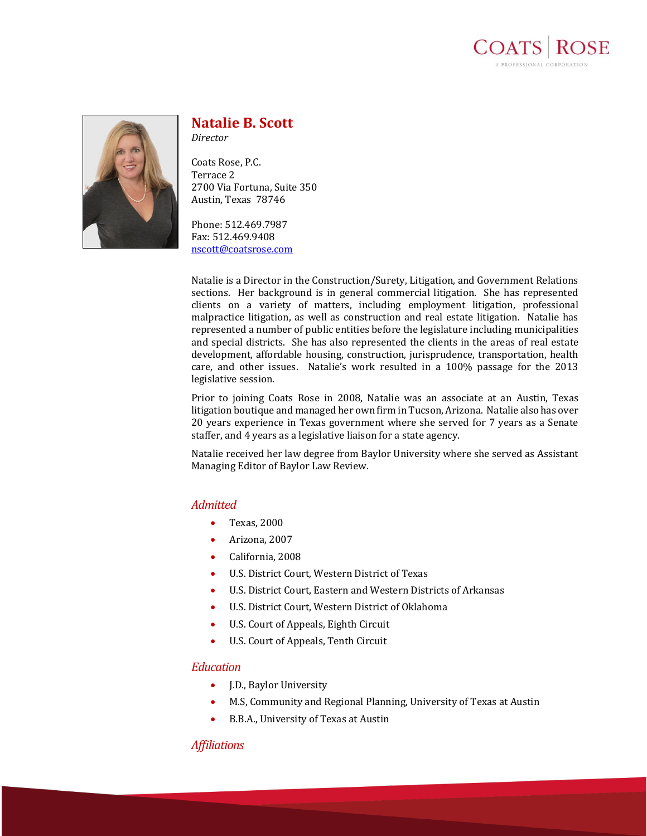



# **Natalie B. Scott**

*Director*

Coats Rose, P.C. Terrace 2 2700 Via Fortuna, Suite 350 Austin, Texas 78746

Phone: 512.469.7987 Fax: 512.469.9408 [nscott@coatsrose.com](mailto:nscott@coatsrose.com)

Natalie is a Director in the Construction/Surety, Litigation, and Government Relations sections. Her background is in general commercial litigation. She has represented clients on a variety of matters, including employment litigation, professional malpractice litigation, as well as construction and real estate litigation. Natalie has represented a number of public entities before the legislature including municipalities and special districts. She has also represented the clients in the areas of real estate development, affordable housing, construction, jurisprudence, transportation, health care, and other issues. Natalie's work resulted in a 100% passage for the 2013 legislative session.

Prior to joining Coats Rose in 2008, Natalie was an associate at an Austin, Texas litigation boutique and managed her own firm in Tucson, Arizona. Natalie also has over 20 years experience in Texas government where she served for 7 years as a Senate staffer, and 4 years as a legislative liaison for a state agency.

Natalie received her law degree from Baylor University where she served as Assistant Managing Editor of Baylor Law Review.

### *Admitted*

- Texas, 2000
- Arizona, 2007
- California, 2008
- U.S. District Court, Western District of Texas
- U.S. District Court, Eastern and Western Districts of Arkansas
- U.S. District Court, Western District of Oklahoma
- U.S. Court of Appeals, Eighth Circuit
- U.S. Court of Appeals, Tenth Circuit

## *Education*

- J.D., Baylor University
- M.S, Community and Regional Planning, University of Texas at Austin
- B.B.A., University of Texas at Austin

### *Affiliations*